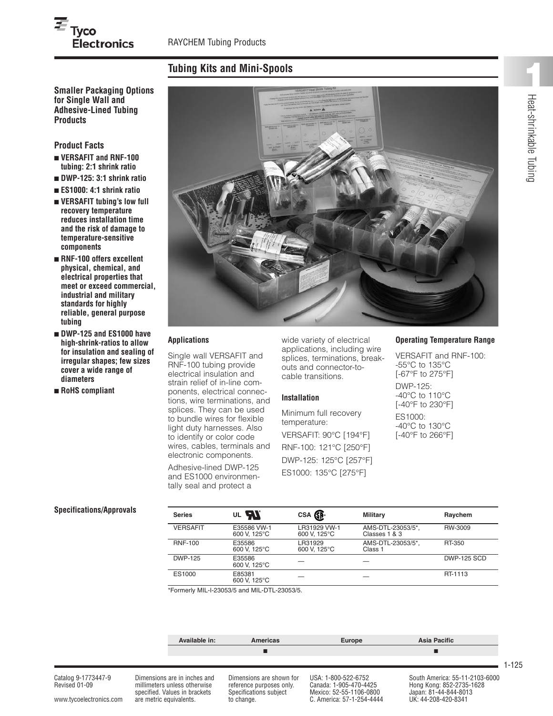# $\overline{\boldsymbol{\varXi}}_{\mathsf{Tyco}}$ **Electronics**

## **Tubing Kits and Mini-Spools**

**for Single Wall and Adhesive-Lined Tubing Products**

**Product Facts**

- **■ VERSAFIT and RNF-100 tubing: 2:1 shrink ratio**
- **■ DWP-125: 3:1 shrink ratio**
- **■ ES1000: 4:1 shrink ratio ■ VERSAFIT tubing's low full recovery temperature reduces installation time and the risk of damage to**
- **temperature-sensitive components ■ RNF-100 offers excellent physical, chemical, and electrical properties that meet or exceed commercial,**
- **industrial and military standards for highly reliable, general purpose tubing**
- **■ DWP-125 and ES1000 have high-shrink-ratios to allow for insulation and sealing of irregular shapes; few sizes cover a wide range of diameters**
- **■ RoHS compliant**



#### **Applications**

Single wall VERSAFIT and RNF-100 tubing provide electrical insulation and strain relief of in-line components, electrical connections, wire terminations, and splices. They can be used to bundle wires for flexible light duty harnesses. Also to identify or color code wires, cables, terminals and electronic components.

Adhesive-lined DWP-125 and ES1000 environmentally seal and protect a

wide variety of electrical applications, including wire splices, terminations, breakouts and connector-tocable transitions.

#### **Installation**

Minimum full recovery temperature: VERSAFIT: 90°C [194°F] RNF-100: 121°C [250°F] DWP-125: 125°C [257°F] ES1000: 135°C [275°F]

#### **Operating Temperature Range**

VERSAFIT and RNF-100: -55°C to 135°C [-67°F to 275°F] DWP-125: -40°C to 110°C [-40°F to 230°F] ES1000: -40°C to 130°C [-40°F to 266°F]

#### **Specifications/Approvals**

| <b>Series</b>   | OL <b>AL</b>                | CSA SP.                      | <b>Military</b>                    | Raychem            |
|-----------------|-----------------------------|------------------------------|------------------------------------|--------------------|
| <b>VERSAFIT</b> | E35586 VW-1<br>600 V. 125°C | LR31929 VW-1<br>600 V. 125°C | AMS-DTL-23053/5*,<br>Classes 1 & 3 | RW-3009            |
| <b>RNF-100</b>  | E35586<br>600 V. 125°C      | LR31929<br>600 V. 125°C      | AMS-DTL-23053/5*.<br>Class 1       | RT-350             |
| <b>DWP-125</b>  | E35586<br>600 V. 125°C      |                              |                                    | <b>DWP-125 SCD</b> |
| ES1000          | E85381<br>600 V, 125°C      |                              |                                    | RT-1113            |

\*Formerly MIL-I-23053/5 and MIL-DTL-23053/5.

|                                      |                         | Available in:                                                                                 | Americas                                                                       | Europe                                                                   | Asia Pacific                                                                        |       |
|--------------------------------------|-------------------------|-----------------------------------------------------------------------------------------------|--------------------------------------------------------------------------------|--------------------------------------------------------------------------|-------------------------------------------------------------------------------------|-------|
|                                      |                         |                                                                                               |                                                                                |                                                                          |                                                                                     |       |
|                                      |                         |                                                                                               |                                                                                |                                                                          |                                                                                     | 1-125 |
| Catalog 9-1773447-9<br>Revised 01-09 |                         | Dimensions are in inches and<br>millimeters unless otherwise<br>specified. Values in brackets | Dimensions are shown for<br>reference purposes only.<br>Specifications subject | USA: 1-800-522-6752<br>Canada: 1-905-470-4425<br>Mexico: 52-55-1106-0800 | South America: 55-11-2103-6000<br>Hong Kong: 852-2735-1628<br>Japan: 81-44-844-8013 |       |
| www.tycoelectronics.com              | are metric equivalents. |                                                                                               | to change.                                                                     | C. America: 57-1-254-4444                                                | UK: 44-208-420-8341                                                                 |       |